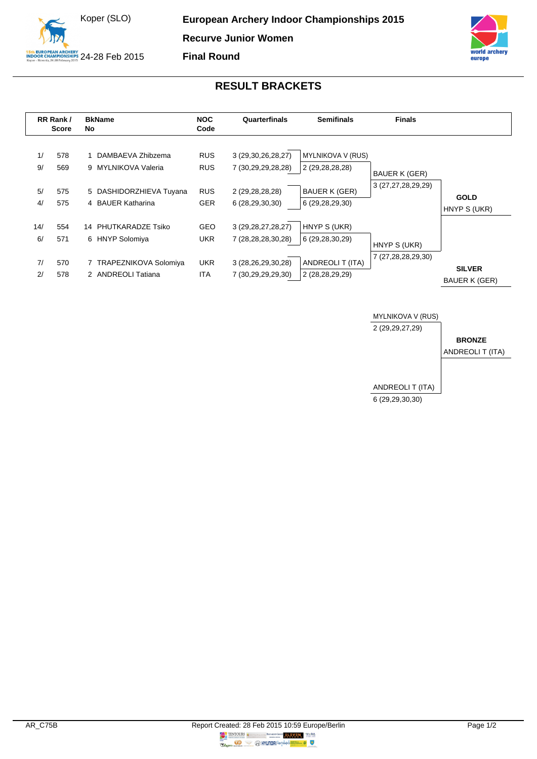



## **RESULT BRACKETS**